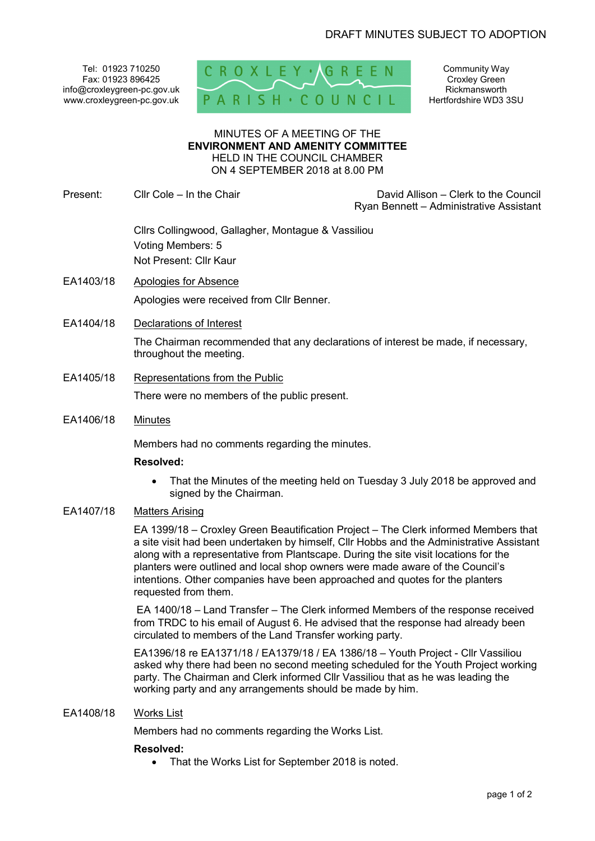Tel: 01923 710250 Fax: 01923 896425 info@croxleygreen-pc.gov.uk www.croxleygreen-pc.gov.uk



Community Way Croxley Green Rickmansworth Hertfordshire WD3 3SU

#### MINUTES OF A MEETING OF THE **ENVIRONMENT AND AMENITY COMMITTEE** HELD IN THE COUNCIL CHAMBER ON 4 SEPTEMBER 2018 at 8.00 PM

Present: Cllr Cole – In the Chair Chair David Allison – Clerk to the Council Ryan Bennett – Administrative Assistant

> Cllrs Collingwood, Gallagher, Montague & Vassiliou Voting Members: 5 Not Present: Cllr Kaur

- EA1403/18 Apologies for Absence Apologies were received from Cllr Benner.
- EA1404/18 Declarations of Interest

The Chairman recommended that any declarations of interest be made, if necessary, throughout the meeting.

- EA1405/18 Representations from the Public There were no members of the public present.
- EA1406/18 Minutes

Members had no comments regarding the minutes.

### **Resolved:**

• That the Minutes of the meeting held on Tuesday 3 July 2018 be approved and signed by the Chairman.

# EA1407/18 Matters Arising

EA 1399/18 – Croxley Green Beautification Project – The Clerk informed Members that a site visit had been undertaken by himself, Cllr Hobbs and the Administrative Assistant along with a representative from Plantscape. During the site visit locations for the planters were outlined and local shop owners were made aware of the Council's intentions. Other companies have been approached and quotes for the planters requested from them.

 EA 1400/18 – Land Transfer – The Clerk informed Members of the response received from TRDC to his email of August 6. He advised that the response had already been circulated to members of the Land Transfer working party.

EA1396/18 re EA1371/18 / EA1379/18 / EA 1386/18 – Youth Project - Cllr Vassiliou asked why there had been no second meeting scheduled for the Youth Project working party. The Chairman and Clerk informed Cllr Vassiliou that as he was leading the working party and any arrangements should be made by him.

### EA1408/18 Works List

Members had no comments regarding the Works List.

### **Resolved:**

• That the Works List for September 2018 is noted.